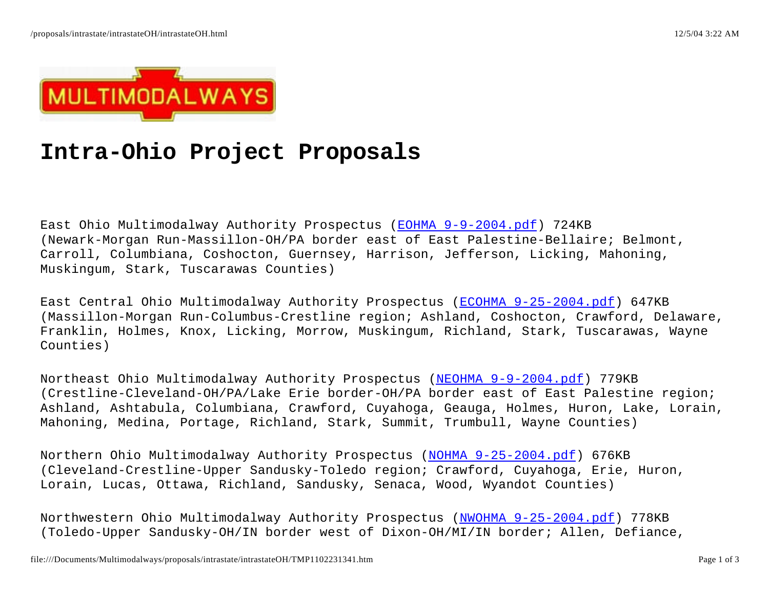

## **Intra-Ohio Project Proposals**

East Ohio Multimodalway Authority Prospectus (<u>EOHMA 9-9-2004.pdf</u>) 724KB (Newark-Morgan Run-Massillon-OH/PA border east of East Palestine-Bellaire; Belmont, Carroll, Columbiana, Coshocton, Guernsey, Harrison, Jefferson, Licking, Mahoning, Muskingum, Stark, Tuscarawas Counties)

East Central Ohio Multimodalway Authority Prospectus (ECOHMA 9-25-2004.pdf) 647KB (Massillon-Morgan Run-Columbus-Crestline region; Ashland, Coshocton, Crawford, Delaware, Franklin, Holmes, Knox, Licking, Morrow, Muskingum, Richland, Stark, Tuscarawas, Wayne Counties)

Northeast Ohio Multimodalway Authority Prospectus (<u>NEOHMA 9-9-2004.pdf</u>) 779KB (Crestline-Cleveland-OH/PA/Lake Erie border-OH/PA border east of East Palestine region; Ashland, Ashtabula, Columbiana, Crawford, Cuyahoga, Geauga, Holmes, Huron, Lake, Lorain, Mahoning, Medina, Portage, Richland, Stark, Summit, Trumbull, Wayne Counties)

Northern Ohio Multimodalway Authority Prospectus (<u>NOHMA 9-25-2004.pdf</u>) 676KB (Cleveland-Crestline-Upper Sandusky-Toledo region; Crawford, Cuyahoga, Erie, Huron, Lorain, Lucas, Ottawa, Richland, Sandusky, Senaca, Wood, Wyandot Counties)

Northwestern Ohio Multimodalway Authority Prospectus (<u>NWOHMA 9-25-2004.pdf</u>) 778KB (Toledo-Upper Sandusky-OH/IN border west of Dixon-OH/MI/IN border; Allen, Defiance,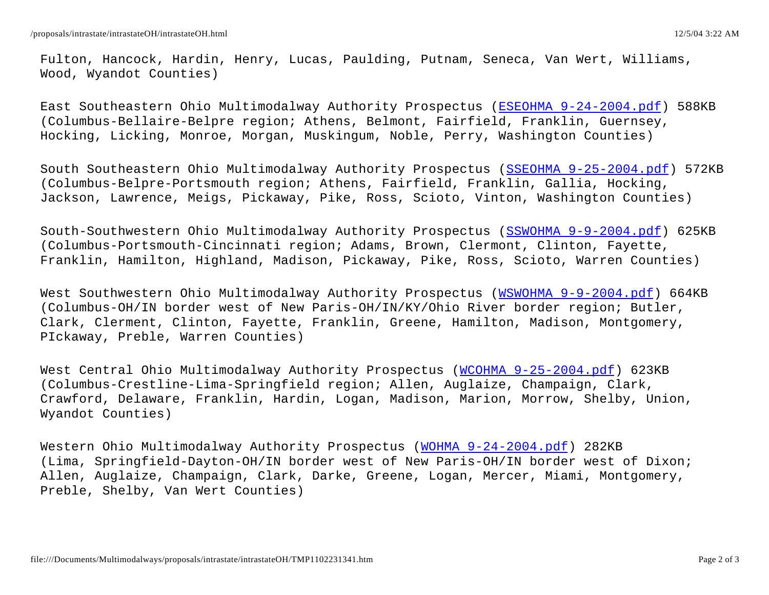Fulton, Hancock, Hardin, Henry, Lucas, Paulding, Putnam, Seneca, Van Wert, Williams, Wood, Wyandot Counties)

East Southeastern Ohio Multimodalway Authority Prospectus (<u>ESEOHMA 9-24-2004.pdf</u>) 588KB (Columbus-Bellaire-Belpre region; Athens, Belmont, Fairfield, Franklin, Guernsey, Hocking, Licking, Monroe, Morgan, Muskingum, Noble, Perry, Washington Counties)

South Southeastern Ohio Multimodalway Authority Prospectus (SSEOHMA 9-25-2004.pdf) 572KB (Columbus-Belpre-Portsmouth region; Athens, Fairfield, Franklin, Gallia, Hocking, Jackson, Lawrence, Meigs, Pickaway, Pike, Ross, Scioto, Vinton, Washington Counties)

South-Southwestern Ohio Multimodalway Authority Prospectus (<u>SSWOHMA 9-9-2004.pdf</u>) 625KB (Columbus-Portsmouth-Cincinnati region; Adams, Brown, Clermont, Clinton, Fayette, Franklin, Hamilton, Highland, Madison, Pickaway, Pike, Ross, Scioto, Warren Counties)

West Southwestern Ohio Multimodalway Authority Prospectus (<u>WSWOHMA 9-9-2004.pdf</u>) 664KB (Columbus-OH/IN border west of New Paris-OH/IN/KY/Ohio River border region; Butler, Clark, Clerment, Clinton, Fayette, Franklin, Greene, Hamilton, Madison, Montgomery, PIckaway, Preble, Warren Counties)

West Central Ohio Multimodalway Authority Prospectus (<u>WCOHMA 9-25-2004.pdf</u>) 623KB (Columbus-Crestline-Lima-Springfield region; Allen, Auglaize, Champaign, Clark, Crawford, Delaware, Franklin, Hardin, Logan, Madison, Marion, Morrow, Shelby, Union, Wyandot Counties)

Western Ohio Multimodalway Authority Prospectus (<u>WOHMA 9-24-2004.pdf</u>) 282KB (Lima, Springfield-Dayton-OH/IN border west of New Paris-OH/IN border west of Dixon; Allen, Auglaize, Champaign, Clark, Darke, Greene, Logan, Mercer, Miami, Montgomery, Preble, Shelby, Van Wert Counties)